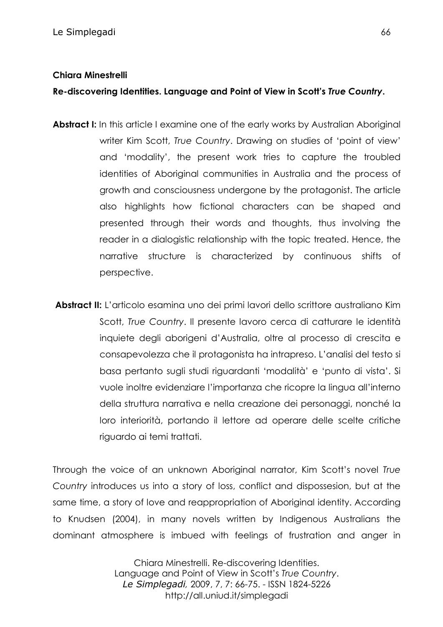### **Chiara Minestrelli**

**Re-discovering Identities. Language and Point of View in Scott's** *True Country***.**

- **Abstract I:** In this article I examine one of the early works by Australian Aboriginal writer Kim Scott, *True Country*. Drawing on studies of 'point of view' and 'modality', the present work tries to capture the troubled identities of Aboriginal communities in Australia and the process of growth and consciousness undergone by the protagonist. The article also highlights how fictional characters can be shaped and presented through their words and thoughts, thus involving the reader in a dialogistic relationship with the topic treated. Hence, the narrative structure is characterized by continuous shifts of perspective.
- Abstract II: L'articolo esamina uno dei primi lavori dello scrittore australiano Kim Scott, *True Country*. Il presente lavoro cerca di catturare le identità inquiete degli aborigeni d'Australia, oltre al processo di crescita e consapevolezza che il protagonista ha intrapreso. L'analisi del testo si basa pertanto sugli studi riguardanti 'modalità' e 'punto di vista'. Si vuole inoltre evidenziare l'importanza che ricopre la lingua all'interno della struttura narrativa e nella creazione dei personaggi, nonché la loro interiorità, portando il lettore ad operare delle scelte critiche riguardo ai temi trattati.

Through the voice of an unknown Aboriginal narrator, Kim Scott's novel *True Country* introduces us into a story of loss, conflict and dispossesion, but at the same time, a story of love and reappropriation of Aboriginal identity. According to Knudsen (2004), in many novels written by Indigenous Australians the dominant atmosphere is imbued with feelings of frustration and anger in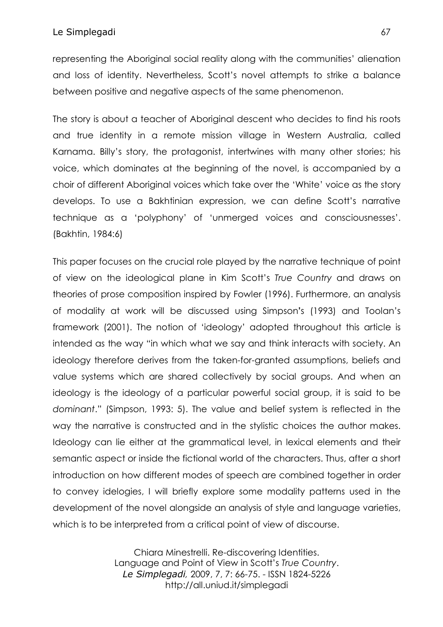representing the Aboriginal social reality along with the communities' alienation and loss of identity. Nevertheless, Scott's novel attempts to strike a balance between positive and negative aspects of the same phenomenon.

The story is about a teacher of Aboriginal descent who decides to find his roots and true identity in a remote mission village in Western Australia, called Karnama. Billy's story, the protagonist, intertwines with many other stories; his voice, which dominates at the beginning of the novel, is accompanied by a choir of different Aboriginal voices which take over the 'White' voice as the story develops. To use a Bakhtinian expression, we can define Scott's narrative technique as a 'polyphony' of 'unmerged voices and consciousnesses'. (Bakhtin, 1984:6)

This paper focuses on the crucial role played by the narrative technique of point of view on the ideological plane in Kim Scott's *True Country* and draws on theories of prose composition inspired by Fowler (1996). Furthermore, an analysis of modality at work will be discussed using Simpson**'**s (1993) and Toolan's framework (2001). The notion of 'ideology' adopted throughout this article is intended as the way "in which what we say and think interacts with society. An ideology therefore derives from the taken-for-granted assumptions, beliefs and value systems which are shared collectively by social groups. And when an ideology is the ideology of a particular powerful social group, it is said to be *dominant*." (Simpson, 1993: 5). The value and belief system is reflected in the way the narrative is constructed and in the stylistic choices the author makes. Ideology can lie either at the grammatical level, in lexical elements and their semantic aspect or inside the fictional world of the characters. Thus, after a short introduction on how different modes of speech are combined together in order to convey idelogies, I will briefly explore some modality patterns used in the development of the novel alongside an analysis of style and language varieties, which is to be interpreted from a critical point of view of discourse.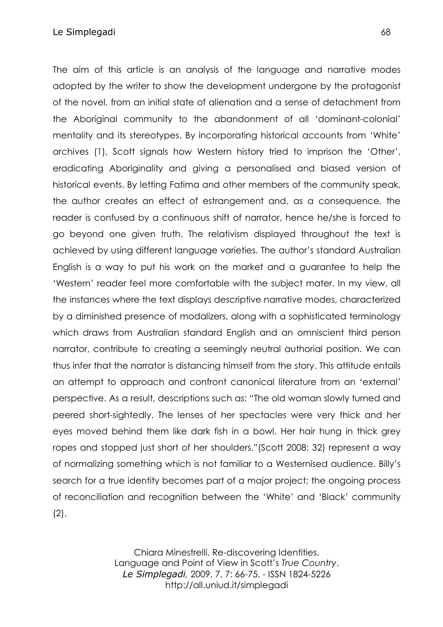The aim of this article is an analysis of the language and narrative modes adopted by the writer to show the development undergone by the protagonist of the novel, from an initial state of alienation and a sense of detachment from the Aboriginal community to the abandonment of all 'dominant-colonial' mentality and its stereotypes. By incorporating historical accounts from 'White' archives (1), Scott signals how Western history tried to imprison the 'Other', eradicating Aboriginality and giving a personalised and biased version of historical events. By letting Fatima and other members of the community speak, the author creates an effect of estrangement and, as a consequence, the reader is confused by a continuous shift of narrator, hence he/she is forced to go beyond one given truth. The relativism displayed throughout the text is achieved by using different language varieties. The author's standard Australian English is a way to put his work on the market and a guarantee to help the 'Western' reader feel more comfortable with the subject mater. In my view, all the instances where the text displays descriptive narrative modes, characterized by a diminished presence of modalizers, along with a sophisticated terminology which draws from Australian standard English and an omniscient third person narrator, contribute to creating a seemingly neutral authorial position. We can thus infer that the narrator is distancing himself from the story. This attitude entails an attempt to approach and confront canonical literature from an 'external' perspective. As a result, descriptions such as: "The old woman slowly turned and peered short-sightedly. The lenses of her spectacles were very thick and her eyes moved behind them like dark fish in a bowl. Her hair hung in thick grey ropes and stopped just short of her shoulders."(Scott 2008: 32) represent a way of normalizing something which is not familiar to a Westernised audience. Billy's search for a true identity becomes part of a major project; the ongoing process of reconciliation and recognition between the 'White' and 'Black' community (2).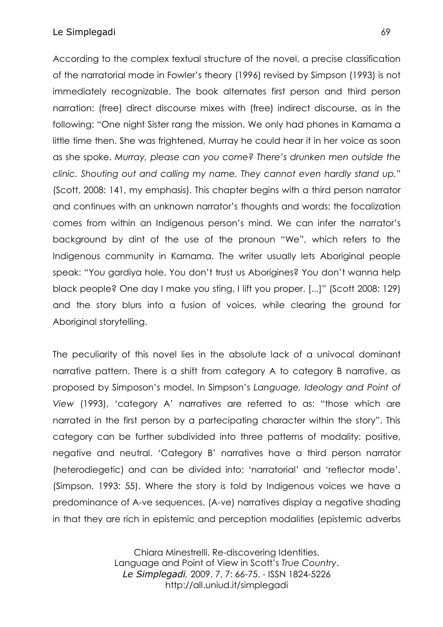### Le Simplegadi 69

According to the complex textual structure of the novel, a precise classification of the narratorial mode in Fowler's theory (1996) revised by Simpson (1993) is not immediately recognizable. The book alternates first person and third person narration: (free) direct discourse mixes with (free) indirect discourse, as in the following: "One night Sister rang the mission. We only had phones in Karnama a little time then. She was frightened, Murray he could hear it in her voice as soon as she spoke. *Murray, please can you come? There's drunken men outside the clinic. Shouting out and calling my name. They cannot even hardly stand up."* (Scott, 2008: 141, my emphasis). This chapter begins with a third person narrator and continues with an unknown narrator's thoughts and words; the focalization comes from within an Indigenous person's mind. We can infer the narrator's background by dint of the use of the pronoun "We", which refers to the Indigenous community in Karnama. The writer usually lets Aboriginal people speak: "You gardiya hole. You don't trust us Aborigines? You don't wanna help black people? One day I make you sting, I lift you proper. [...]" (Scott 2008: 129) and the story blurs into a fusion of voices, while clearing the ground for Aboriginal storytelling.

The peculiarity of this novel lies in the absolute lack of a univocal dominant narrative pattern. There is a shift from category A to category B narrative, as proposed by Simposon's model. In Simpson's *Language, Ideology and Point of View* (1993), 'category A' narratives are referred to as: "those which are narrated in the first person by a partecipating character within the story". This category can be further subdivided into three patterns of modality: positive, negative and neutral. 'Category B' narratives have a third person narrator (heterodiegetic) and can be divided into: 'narratorial' and 'reflector mode'. (Simpson, 1993: 55). Where the story is told by Indigenous voices we have a predominance of A-ve sequences. (A-ve) narratives display a negative shading in that they are rich in epistemic and perception modalities (epistemic adverbs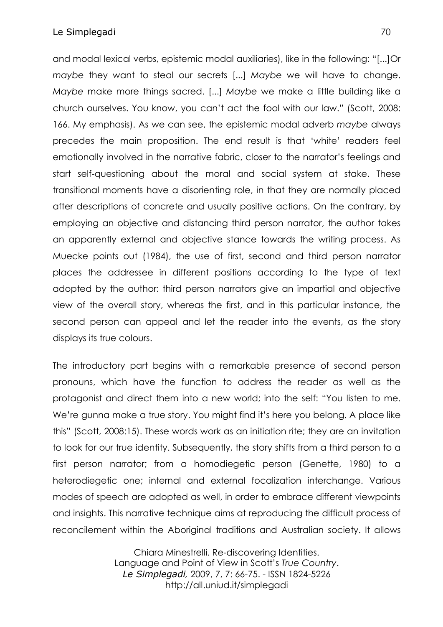and modal lexical verbs, epistemic modal auxiliaries), like in the following: "[...]Or *maybe* they want to steal our secrets [...] *Maybe* we will have to change. *Maybe* make more things sacred. [...] *Maybe* we make a little building like a church ourselves. You know, you can't act the fool with our law." (Scott, 2008: 166. My emphasis). As we can see, the epistemic modal adverb *maybe* always precedes the main proposition. The end result is that 'white' readers feel emotionally involved in the narrative fabric, closer to the narrator's feelings and start self-questioning about the moral and social system at stake. These transitional moments have a disorienting role, in that they are normally placed after descriptions of concrete and usually positive actions. On the contrary, by employing an objective and distancing third person narrator, the author takes an apparently external and objective stance towards the writing process. As Muecke points out (1984), the use of first, second and third person narrator places the addressee in different positions according to the type of text adopted by the author: third person narrators give an impartial and objective view of the overall story, whereas the first, and in this particular instance, the second person can appeal and let the reader into the events, as the story displays its true colours.

The introductory part begins with a remarkable presence of second person pronouns, which have the function to address the reader as well as the protagonist and direct them into a new world; into the self: "You listen to me. We're gunna make a true story. You might find it's here you belong. A place like this" (Scott, 2008:15). These words work as an initiation rite; they are an invitation to look for our true identity. Subsequently, the story shifts from a third person to a first person narrator; from a homodiegetic person (Genette, 1980) to a heterodiegetic one; internal and external focalization interchange. Various modes of speech are adopted as well, in order to embrace different viewpoints and insights. This narrative technique aims at reproducing the difficult process of reconcilement within the Aboriginal traditions and Australian society. It allows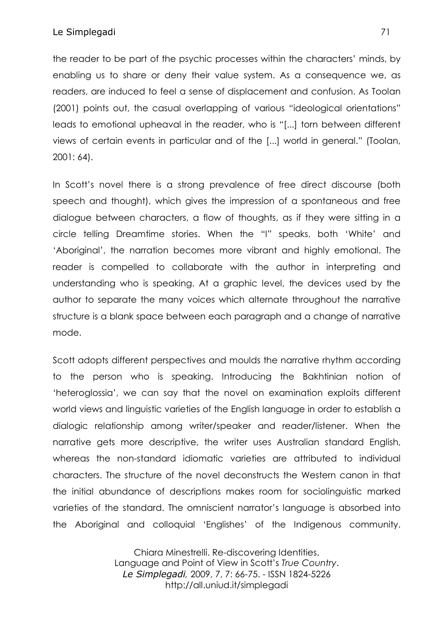#### Le Simplegadi 71

the reader to be part of the psychic processes within the characters' minds, by enabling us to share or deny their value system. As a consequence we, as readers, are induced to feel a sense of displacement and confusion. As Toolan (2001) points out, the casual overlapping of various "ideological orientations" leads to emotional upheaval in the reader, who is "[...] torn between different views of certain events in particular and of the [...] world in general." (Toolan, 2001: 64).

In Scott's novel there is a strong prevalence of free direct discourse (both speech and thought), which gives the impression of a spontaneous and free dialogue between characters, a flow of thoughts, as if they were sitting in a circle telling Dreamtime stories. When the "I" speaks, both 'White' and 'Aboriginal', the narration becomes more vibrant and highly emotional. The reader is compelled to collaborate with the author in interpreting and understanding who is speaking. At a graphic level, the devices used by the author to separate the many voices which alternate throughout the narrative structure is a blank space between each paragraph and a change of narrative mode.

Scott adopts different perspectives and moulds the narrative rhythm according to the person who is speaking. Introducing the Bakhtinian notion of 'heteroglossia', we can say that the novel on examination exploits different world views and linguistic varieties of the English language in order to establish a dialogic relationship among writer/speaker and reader/listener. When the narrative gets more descriptive, the writer uses Australian standard English, whereas the non-standard idiomatic varieties are attributed to individual characters. The structure of the novel deconstructs the Western canon in that the initial abundance of descriptions makes room for sociolinguistic marked varieties of the standard. The omniscient narrator's language is absorbed into the Aboriginal and colloquial 'Englishes' of the Indigenous community.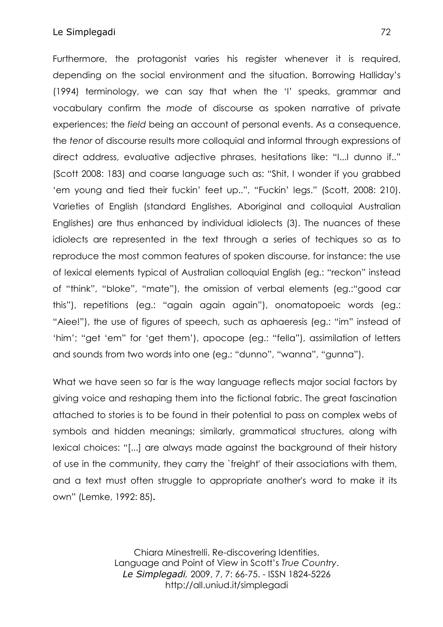Furthermore, the protagonist varies his register whenever it is required, depending on the social environment and the situation. Borrowing Halliday's (1994) terminology, we can say that when the 'I' speaks, grammar and vocabulary confirm the *mode* of discourse as spoken narrative of private experiences; the *field* being an account of personal events. As a consequence, the *tenor* of discourse results more colloquial and informal through expressions of direct address, evaluative adjective phrases, hesitations like: "I...I dunno if.." (Scott 2008: 183) and coarse language such as: "Shit, I wonder if you grabbed 'em young and tied their fuckin' feet up..", "Fuckin' legs." (Scott, 2008: 210). Varieties of English (standard Englishes, Aboriginal and colloquial Australian Englishes) are thus enhanced by individual idiolects (3). The nuances of these idiolects are represented in the text through a series of techiques so as to reproduce the most common features of spoken discourse, for instance: the use of lexical elements typical of Australian colloquial English (eg.: "reckon" instead of "think", "bloke", "mate"), the omission of verbal elements (eg.:"good car this"), repetitions (eg.: "again again again"), onomatopoeic words (eg.: "Aiee!"), the use of figures of speech, such as aphaeresis (eg.: "im" instead of 'him'; "get 'em" for 'get them'), apocope (eg.: "fella"), assimilation of letters and sounds from two words into one (eg.: "dunno", "wanna", "gunna").

What we have seen so far is the way language reflects major social factors by giving voice and reshaping them into the fictional fabric. The great fascination attached to stories is to be found in their potential to pass on complex webs of symbols and hidden meanings; similarly, grammatical structures, along with lexical choices: "[...] are always made against the background of their history of use in the community, they carry the `freight' of their associations with them, and a text must often struggle to appropriate another's word to make it its own" (Lemke, 1992: 85)**.**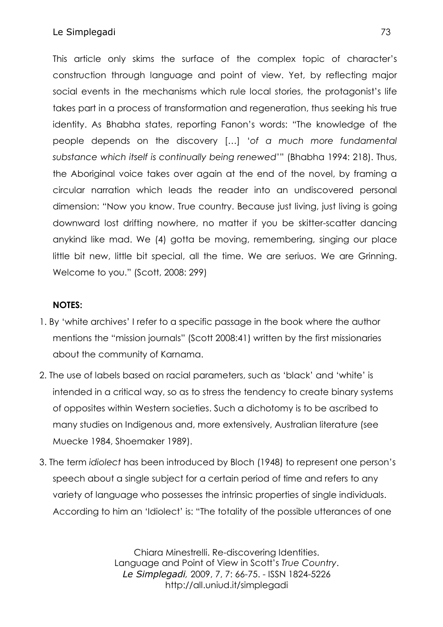This article only skims the surface of the complex topic of character's construction through language and point of view. Yet, by reflecting major social events in the mechanisms which rule local stories, the protagonist's life takes part in a process of transformation and regeneration, thus seeking his true identity. As Bhabha states, reporting Fanon's words: "The knowledge of the people depends on the discovery […] '*of a much more fundamental substance which itself is continually being renewed*'" (Bhabha 1994: 218). Thus, the Aboriginal voice takes over again at the end of the novel, by framing a circular narration which leads the reader into an undiscovered personal dimension: "Now you know. True country. Because just living, just living is going downward lost drifting nowhere, no matter if you be skitter-scatter dancing anykind like mad. We (4) gotta be moving, remembering, singing our place little bit new, little bit special, all the time. We are seriuos. We are Grinning. Welcome to you." (Scott, 2008: 299)

# **NOTES:**

- 1. By 'white archives' I refer to a specific passage in the book where the author mentions the "mission journals" (Scott 2008:41) written by the first missionaries about the community of Karnama.
- 2. The use of labels based on racial parameters, such as 'black' and 'white' is intended in a critical way, so as to stress the tendency to create binary systems of opposites within Western societies. Such a dichotomy is to be ascribed to many studies on Indigenous and, more extensively, Australian literature (see Muecke 1984, Shoemaker 1989).
- 3. The term *idiolect* has been introduced by Bloch (1948) to represent one person's speech about a single subject for a certain period of time and refers to any variety of language who possesses the intrinsic properties of single individuals. According to him an 'Idiolect' is: "The totality of the possible utterances of one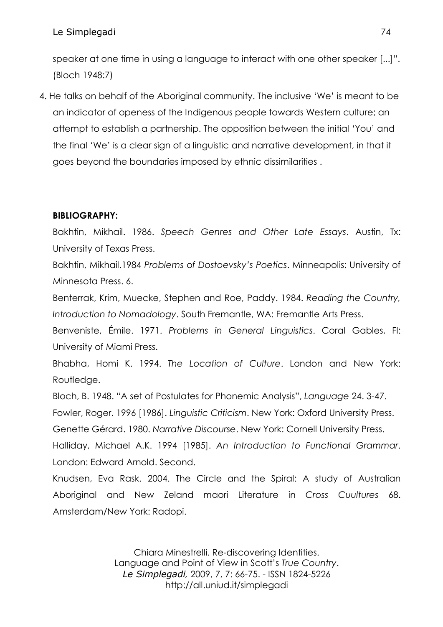speaker at one time in using a language to interact with one other speaker [...]". (Bloch 1948:7)

4. He talks on behalf of the Aboriginal community. The inclusive 'We' is meant to be an indicator of openess of the Indigenous people towards Western culture; an attempt to establish a partnership. The opposition between the initial 'You' and the final 'We' is a clear sign of a linguistic and narrative development, in that it goes beyond the boundaries imposed by ethnic dissimilarities .

# **BIBLIOGRAPHY:**

Bakhtin, Mikhail. 1986. *Speech Genres and Other Late Essays*. Austin, Tx: University of Texas Press.

Bakhtin, Mikhail.1984 *Problems* o*f Dostoevsky's Poetics*. Minneapolis: University of Minnesota Press. 6.

Benterrak, Krim, Muecke, Stephen and Roe, Paddy. 1984. *Reading the Country, Introduction to Nomadology*. South Fremantle, WA: Fremantle Arts Press.

Benveniste, Émile. 1971. *Problems in General Linguistics*. Coral Gables, Fl: University of Miami Press.

Bhabha, Homi K. 1994. *The Location of Culture*. London and New York: Routledge.

Bloch, B. 1948. "A set of Postulates for Phonemic Analysis", *Language* 24. 3-47.

Fowler, Roger. 1996 [1986]. *Linguistic Criticism*. New York: Oxford University Press.

Genette Gérard. 1980. *Narrative Discourse*. New York: Cornell University Press.

Halliday, Michael A.K. 1994 [1985]. *An Introduction to Functional Grammar*. London: Edward Arnold. Second.

Knudsen, Eva Rask. 2004. The Circle and the Spiral: A study of Australian Aboriginal and New Zeland maori Literature in *Cross Cuultures* 68. Amsterdam/New York: Radopi.